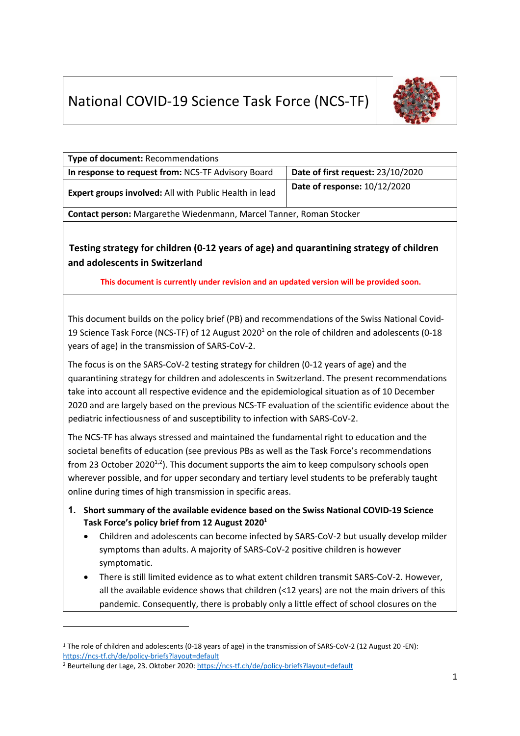# National COVID-19 Science Task Force (NCS-TF)



| Type of document: Recommendations                                                                                                                                                                                                                                                                                                                                                                                                                                                                                                                                |                                   |
|------------------------------------------------------------------------------------------------------------------------------------------------------------------------------------------------------------------------------------------------------------------------------------------------------------------------------------------------------------------------------------------------------------------------------------------------------------------------------------------------------------------------------------------------------------------|-----------------------------------|
| In response to request from: NCS-TF Advisory Board                                                                                                                                                                                                                                                                                                                                                                                                                                                                                                               | Date of first request: 23/10/2020 |
| Expert groups involved: All with Public Health in lead                                                                                                                                                                                                                                                                                                                                                                                                                                                                                                           | Date of response: 10/12/2020      |
| Contact person: Margarethe Wiedenmann, Marcel Tanner, Roman Stocker                                                                                                                                                                                                                                                                                                                                                                                                                                                                                              |                                   |
| Testing strategy for children (0-12 years of age) and quarantining strategy of children<br>and adolescents in Switzerland<br>This document is currently under revision and an updated version will be provided soon.                                                                                                                                                                                                                                                                                                                                             |                                   |
| This document builds on the policy brief (PB) and recommendations of the Swiss National Covid-<br>19 Science Task Force (NCS-TF) of 12 August 2020 <sup>1</sup> on the role of children and adolescents (0-18<br>years of age) in the transmission of SARS-CoV-2.<br>The focus is on the SARS-CoV-2 testing strategy for children (0-12 years of age) and the<br>quarantining strategy for children and adolescents in Switzerland. The present recommendations<br>take into account all respective evidence and the epidemiological situation as of 10 December |                                   |
| 2020 and are largely based on the previous NCS-TF evaluation of the scientific evidence about the<br>pediatric infectiousness of and susceptibility to infection with SARS-CoV-2.                                                                                                                                                                                                                                                                                                                                                                                |                                   |
| The NCS-TF has always stressed and maintained the fundamental right to education and the<br>societal benefits of education (see previous PBs as well as the Task Force's recommendations<br>from 23 October 2020 <sup>1,2</sup> ). This document supports the aim to keep compulsory schools open<br>wherever possible, and for upper secondary and tertiary level students to be preferably taught<br>online during times of high transmission in specific areas.                                                                                               |                                   |

- **1. Short summary of the available evidence based on the Swiss National COVID-19 Science Task Force's policy brief from 12 August 20201**
	- Children and adolescents can become infected by SARS-CoV-2 but usually develop milder symptoms than adults. A majority of SARS-CoV-2 positive children is however symptomatic.
	- There is still limited evidence as to what extent children transmit SARS-CoV-2. However, all the available evidence shows that children (<12 years) are not the main drivers of this pandemic. Consequently, there is probably only a little effect of school closures on the

<sup>1</sup> The role of children and adolescents (0-18 years of age) in the transmission of SARS-CoV-2 (12 August 20 -EN): https://ncs-tf.ch/de/policy-briefs?layout=default

<sup>&</sup>lt;sup>2</sup> Beurteilung der Lage, 23. Oktober 2020: https://ncs-tf.ch/de/policy-briefs?layout=default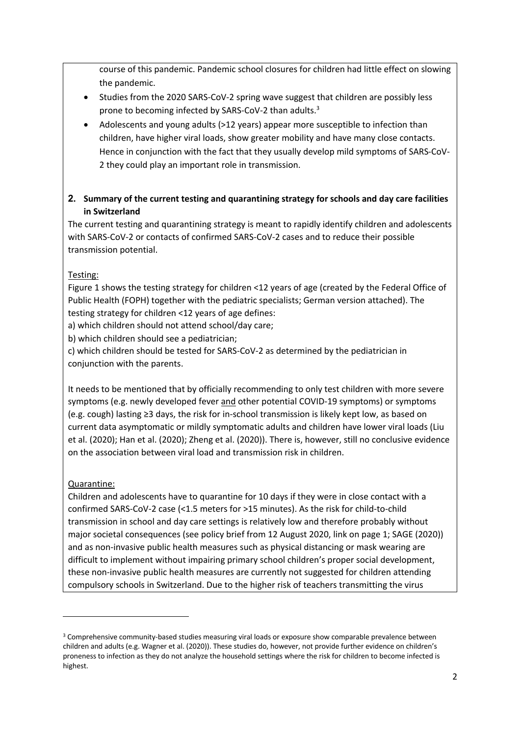course of this pandemic. Pandemic school closures for children had little effect on slowing the pandemic.

- Studies from the 2020 SARS-CoV-2 spring wave suggest that children are possibly less prone to becoming infected by SARS-CoV-2 than adults.<sup>3</sup>
- Adolescents and young adults (>12 years) appear more susceptible to infection than children, have higher viral loads, show greater mobility and have many close contacts. Hence in conjunction with the fact that they usually develop mild symptoms of SARS-CoV-2 they could play an important role in transmission.
- **2. Summary of the current testing and quarantining strategy for schools and day care facilities in Switzerland**

The current testing and quarantining strategy is meant to rapidly identify children and adolescents with SARS-CoV-2 or contacts of confirmed SARS-CoV-2 cases and to reduce their possible transmission potential.

# Testing:

Figure 1 shows the testing strategy for children <12 years of age (created by the Federal Office of Public Health (FOPH) together with the pediatric specialists; German version attached). The testing strategy for children <12 years of age defines:

a) which children should not attend school/day care;

b) which children should see a pediatrician;

c) which children should be tested for SARS-CoV-2 as determined by the pediatrician in conjunction with the parents.

It needs to be mentioned that by officially recommending to only test children with more severe symptoms (e.g. newly developed fever and other potential COVID-19 symptoms) or symptoms (e.g. cough) lasting ≥3 days, the risk for in-school transmission is likely kept low, as based on current data asymptomatic or mildly symptomatic adults and children have lower viral loads (Liu et al. (2020); Han et al. (2020); Zheng et al. (2020)). There is, however, still no conclusive evidence on the association between viral load and transmission risk in children.

# Quarantine:

Children and adolescents have to quarantine for 10 days if they were in close contact with a confirmed SARS-CoV-2 case (<1.5 meters for >15 minutes). As the risk for child-to-child transmission in school and day care settings is relatively low and therefore probably without major societal consequences (see policy brief from 12 August 2020, link on page 1; SAGE (2020)) and as non-invasive public health measures such as physical distancing or mask wearing are difficult to implement without impairing primary school children's proper social development, these non-invasive public health measures are currently not suggested for children attending compulsory schools in Switzerland. Due to the higher risk of teachers transmitting the virus

<sup>&</sup>lt;sup>3</sup> Comprehensive community-based studies measuring viral loads or exposure show comparable prevalence between children and adults (e.g. Wagner et al. (2020)). These studies do, however, not provide further evidence on children's proneness to infection as they do not analyze the household settings where the risk for children to become infected is highest.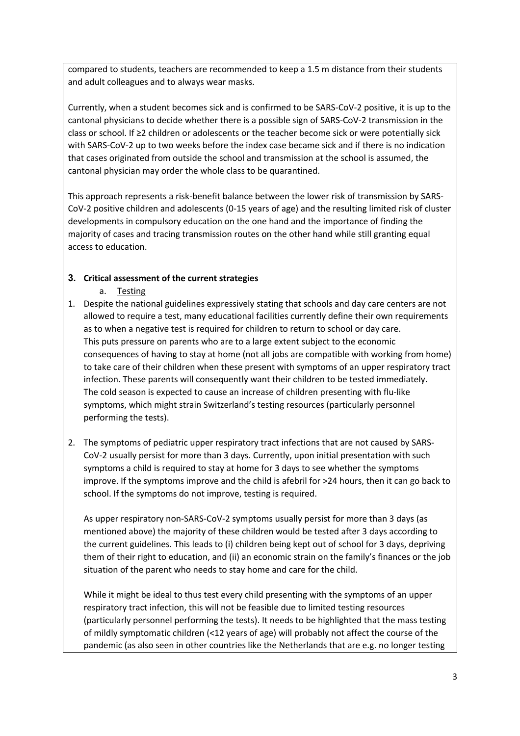compared to students, teachers are recommended to keep a 1.5 m distance from their students and adult colleagues and to always wear masks.

Currently, when a student becomes sick and is confirmed to be SARS-CoV-2 positive, it is up to the cantonal physicians to decide whether there is a possible sign of SARS-CoV-2 transmission in the class or school. If ≥2 children or adolescents or the teacher become sick or were potentially sick with SARS-CoV-2 up to two weeks before the index case became sick and if there is no indication that cases originated from outside the school and transmission at the school is assumed, the cantonal physician may order the whole class to be quarantined.

This approach represents a risk-benefit balance between the lower risk of transmission by SARS-CoV-2 positive children and adolescents (0-15 years of age) and the resulting limited risk of cluster developments in compulsory education on the one hand and the importance of finding the majority of cases and tracing transmission routes on the other hand while still granting equal access to education.

## **3. Critical assessment of the current strategies**

- a. Testing
- 1. Despite the national guidelines expressively stating that schools and day care centers are not allowed to require a test, many educational facilities currently define their own requirements as to when a negative test is required for children to return to school or day care. This puts pressure on parents who are to a large extent subject to the economic consequences of having to stay at home (not all jobs are compatible with working from home) to take care of their children when these present with symptoms of an upper respiratory tract infection. These parents will consequently want their children to be tested immediately. The cold season is expected to cause an increase of children presenting with flu-like symptoms, which might strain Switzerland's testing resources (particularly personnel performing the tests).
- 2. The symptoms of pediatric upper respiratory tract infections that are not caused by SARS-CoV-2 usually persist for more than 3 days. Currently, upon initial presentation with such symptoms a child is required to stay at home for 3 days to see whether the symptoms improve. If the symptoms improve and the child is afebril for >24 hours, then it can go back to school. If the symptoms do not improve, testing is required.

As upper respiratory non-SARS-CoV-2 symptoms usually persist for more than 3 days (as mentioned above) the majority of these children would be tested after 3 days according to the current guidelines. This leads to (i) children being kept out of school for 3 days, depriving them of their right to education, and (ii) an economic strain on the family's finances or the job situation of the parent who needs to stay home and care for the child.

While it might be ideal to thus test every child presenting with the symptoms of an upper respiratory tract infection, this will not be feasible due to limited testing resources (particularly personnel performing the tests). It needs to be highlighted that the mass testing of mildly symptomatic children (<12 years of age) will probably not affect the course of the pandemic (as also seen in other countries like the Netherlands that are e.g. no longer testing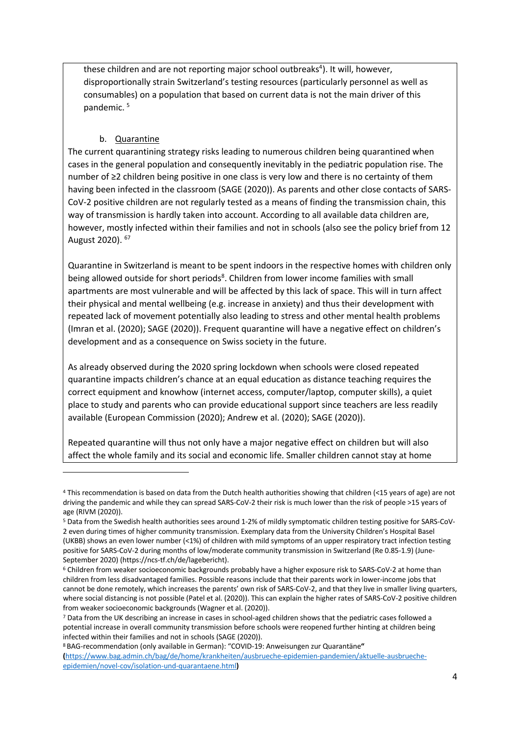these children and are not reporting major school outbreaks<sup>4</sup>). It will, however, disproportionally strain Switzerland's testing resources (particularly personnel as well as consumables) on a population that based on current data is not the main driver of this pandemic. 5

#### b. Quarantine

The current quarantining strategy risks leading to numerous children being quarantined when cases in the general population and consequently inevitably in the pediatric population rise. The number of ≥2 children being positive in one class is very low and there is no certainty of them having been infected in the classroom (SAGE (2020)). As parents and other close contacts of SARS-CoV-2 positive children are not regularly tested as a means of finding the transmission chain, this way of transmission is hardly taken into account. According to all available data children are, however, mostly infected within their families and not in schools (also see the policy brief from 12 August 2020). 67

Quarantine in Switzerland is meant to be spent indoors in the respective homes with children only being allowed outside for short periods<sup>8</sup>. Children from lower income families with small apartments are most vulnerable and will be affected by this lack of space. This will in turn affect their physical and mental wellbeing (e.g. increase in anxiety) and thus their development with repeated lack of movement potentially also leading to stress and other mental health problems (Imran et al. (2020); SAGE (2020)). Frequent quarantine will have a negative effect on children's development and as a consequence on Swiss society in the future.

As already observed during the 2020 spring lockdown when schools were closed repeated quarantine impacts children's chance at an equal education as distance teaching requires the correct equipment and knowhow (internet access, computer/laptop, computer skills), a quiet place to study and parents who can provide educational support since teachers are less readily available (European Commission (2020); Andrew et al. (2020); SAGE (2020)).

Repeated quarantine will thus not only have a major negative effect on children but will also affect the whole family and its social and economic life. Smaller children cannot stay at home

<sup>4</sup> This recommendation is based on data from the Dutch health authorities showing that children (<15 years of age) are not driving the pandemic and while they can spread SARS-CoV-2 their risk is much lower than the risk of people >15 years of age (RIVM (2020)).

<sup>5</sup> Data from the Swedish health authorities sees around 1-2% of mildly symptomatic children testing positive for SARS-CoV-2 even during times of higher community transmission. Exemplary data from the University Children's Hospital Basel (UKBB) shows an even lower number (<1%) of children with mild symptoms of an upper respiratory tract infection testing positive for SARS-CoV-2 during months of low/moderate community transmission in Switzerland (Re 0.85-1.9) (June-September 2020) (https://ncs-tf.ch/de/lagebericht).<br><sup>6</sup> Children from weaker socioeconomic backgrounds probably have a higher exposure risk to SARS-CoV-2 at home than

children from less disadvantaged families. Possible reasons include that their parents work in lower-income jobs that cannot be done remotely, which increases the parents' own risk of SARS-CoV-2, and that they live in smaller living quarters, where social distancing is not possible (Patel et al. (2020)). This can explain the higher rates of SARS-CoV-2 positive children from weaker socioeconomic backgrounds (Wagner et al. (2020)).

<sup>7</sup> Data from the UK describing an increase in cases in school-aged children shows that the pediatric cases followed a potential increase in overall community transmission before schools were reopened further hinting at children being infected within their families and not in schools (SAGE (2020)). 8 BAG-recommendation (only available in German): "COVID-19: Anweisungen zur Quarantäne**"** 

**<sup>(</sup>**https://www.bag.admin.ch/bag/de/home/krankheiten/ausbrueche-epidemien-pandemien/aktuelle-ausbruecheepidemien/novel-cov/isolation-und-quarantaene.html**)**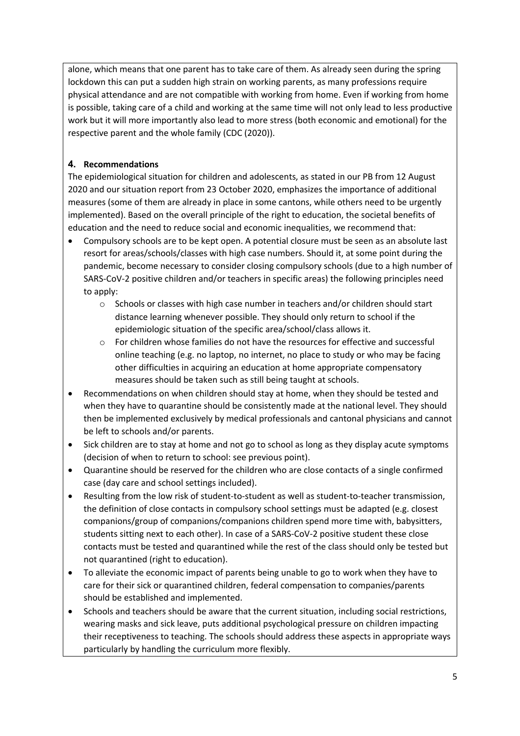alone, which means that one parent has to take care of them. As already seen during the spring lockdown this can put a sudden high strain on working parents, as many professions require physical attendance and are not compatible with working from home. Even if working from home is possible, taking care of a child and working at the same time will not only lead to less productive work but it will more importantly also lead to more stress (both economic and emotional) for the respective parent and the whole family (CDC (2020)).

# **4. Recommendations**

The epidemiological situation for children and adolescents, as stated in our PB from 12 August 2020 and our situation report from 23 October 2020, emphasizes the importance of additional measures (some of them are already in place in some cantons, while others need to be urgently implemented). Based on the overall principle of the right to education, the societal benefits of education and the need to reduce social and economic inequalities, we recommend that:

- Compulsory schools are to be kept open. A potential closure must be seen as an absolute last resort for areas/schools/classes with high case numbers. Should it, at some point during the pandemic, become necessary to consider closing compulsory schools (due to a high number of SARS-CoV-2 positive children and/or teachers in specific areas) the following principles need to apply:
	- $\circ$  Schools or classes with high case number in teachers and/or children should start distance learning whenever possible. They should only return to school if the epidemiologic situation of the specific area/school/class allows it.
	- o For children whose families do not have the resources for effective and successful online teaching (e.g. no laptop, no internet, no place to study or who may be facing other difficulties in acquiring an education at home appropriate compensatory measures should be taken such as still being taught at schools.
- Recommendations on when children should stay at home, when they should be tested and when they have to quarantine should be consistently made at the national level. They should then be implemented exclusively by medical professionals and cantonal physicians and cannot be left to schools and/or parents.
- Sick children are to stay at home and not go to school as long as they display acute symptoms (decision of when to return to school: see previous point).
- Quarantine should be reserved for the children who are close contacts of a single confirmed case (day care and school settings included).
- Resulting from the low risk of student-to-student as well as student-to-teacher transmission, the definition of close contacts in compulsory school settings must be adapted (e.g. closest companions/group of companions/companions children spend more time with, babysitters, students sitting next to each other). In case of a SARS-CoV-2 positive student these close contacts must be tested and quarantined while the rest of the class should only be tested but not quarantined (right to education).
- To alleviate the economic impact of parents being unable to go to work when they have to care for their sick or quarantined children, federal compensation to companies/parents should be established and implemented.
- Schools and teachers should be aware that the current situation, including social restrictions, wearing masks and sick leave, puts additional psychological pressure on children impacting their receptiveness to teaching. The schools should address these aspects in appropriate ways particularly by handling the curriculum more flexibly.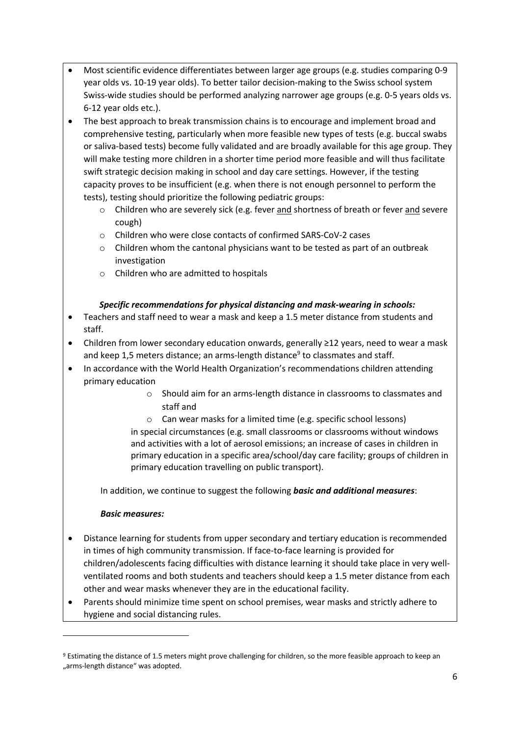- Most scientific evidence differentiates between larger age groups (e.g. studies comparing 0-9 year olds vs. 10-19 year olds). To better tailor decision-making to the Swiss school system Swiss-wide studies should be performed analyzing narrower age groups (e.g. 0-5 years olds vs. 6-12 year olds etc.).
- The best approach to break transmission chains is to encourage and implement broad and comprehensive testing, particularly when more feasible new types of tests (e.g. buccal swabs or saliva-based tests) become fully validated and are broadly available for this age group. They will make testing more children in a shorter time period more feasible and will thus facilitate swift strategic decision making in school and day care settings. However, if the testing capacity proves to be insufficient (e.g. when there is not enough personnel to perform the tests), testing should prioritize the following pediatric groups:
	- $\circ$  Children who are severely sick (e.g. fever and shortness of breath or fever and severe cough)
	- o Children who were close contacts of confirmed SARS-CoV-2 cases
	- $\circ$  Children whom the cantonal physicians want to be tested as part of an outbreak investigation
	- o Children who are admitted to hospitals

### *Specific recommendations for physical distancing and mask-wearing in schools:*

- Teachers and staff need to wear a mask and keep a 1.5 meter distance from students and staff.
- Children from lower secondary education onwards, generally ≥12 years, need to wear a mask and keep 1,5 meters distance; an arms-length distance<sup>9</sup> to classmates and staff.
- In accordance with the World Health Organization's recommendations children attending primary education
	- o Should aim for an arms-length distance in classrooms to classmates and staff and
	- o Can wear masks for a limited time (e.g. specific school lessons)

in special circumstances (e.g. small classrooms or classrooms without windows and activities with a lot of aerosol emissions; an increase of cases in children in primary education in a specific area/school/day care facility; groups of children in primary education travelling on public transport).

In addition, we continue to suggest the following *basic and additional measures*:

### *Basic measures:*

- Distance learning for students from upper secondary and tertiary education is recommended in times of high community transmission. If face-to-face learning is provided for children/adolescents facing difficulties with distance learning it should take place in very wellventilated rooms and both students and teachers should keep a 1.5 meter distance from each other and wear masks whenever they are in the educational facility.
- Parents should minimize time spent on school premises, wear masks and strictly adhere to hygiene and social distancing rules.

<sup>9</sup> Estimating the distance of 1.5 meters might prove challenging for children, so the more feasible approach to keep an "arms-length distance" was adopted.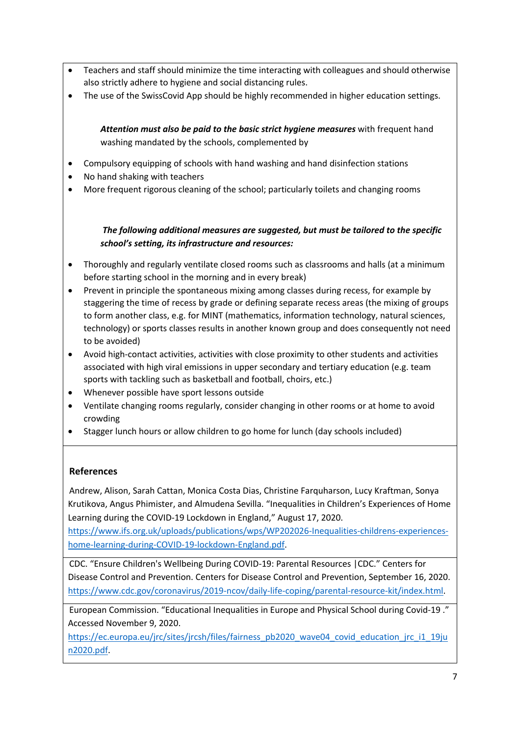- Teachers and staff should minimize the time interacting with colleagues and should otherwise also strictly adhere to hygiene and social distancing rules.
- The use of the SwissCovid App should be highly recommended in higher education settings.

*Attention must also be paid to the basic strict hygiene measures* with frequent hand washing mandated by the schools, complemented by

- Compulsory equipping of schools with hand washing and hand disinfection stations
- No hand shaking with teachers
- More frequent rigorous cleaning of the school; particularly toilets and changing rooms

*The following additional measures are suggested, but must be tailored to the specific school's setting, its infrastructure and resources:*

- Thoroughly and regularly ventilate closed rooms such as classrooms and halls (at a minimum before starting school in the morning and in every break)
- Prevent in principle the spontaneous mixing among classes during recess, for example by staggering the time of recess by grade or defining separate recess areas (the mixing of groups to form another class, e.g. for MINT (mathematics, information technology, natural sciences, technology) or sports classes results in another known group and does consequently not need to be avoided)
- Avoid high-contact activities, activities with close proximity to other students and activities associated with high viral emissions in upper secondary and tertiary education (e.g. team sports with tackling such as basketball and football, choirs, etc.)
- Whenever possible have sport lessons outside
- Ventilate changing rooms regularly, consider changing in other rooms or at home to avoid crowding
- Stagger lunch hours or allow children to go home for lunch (day schools included)

### **References**

Andrew, Alison, Sarah Cattan, Monica Costa Dias, Christine Farquharson, Lucy Kraftman, Sonya Krutikova, Angus Phimister, and Almudena Sevilla. "Inequalities in Children's Experiences of Home Learning during the COVID-19 Lockdown in England," August 17, 2020.

https://www.ifs.org.uk/uploads/publications/wps/WP202026-Inequalities-childrens-experienceshome-learning-during-COVID-19-lockdown-England.pdf.

CDC. "Ensure Children's Wellbeing During COVID-19: Parental Resources |CDC." Centers for Disease Control and Prevention. Centers for Disease Control and Prevention, September 16, 2020. https://www.cdc.gov/coronavirus/2019-ncov/daily-life-coping/parental-resource-kit/index.html.

European Commission. "Educational Inequalities in Europe and Physical School during Covid-19 ." Accessed November 9, 2020.

https://ec.europa.eu/jrc/sites/jrcsh/files/fairness\_pb2020\_wave04\_covid\_education\_jrc\_i1\_19ju n2020.pdf.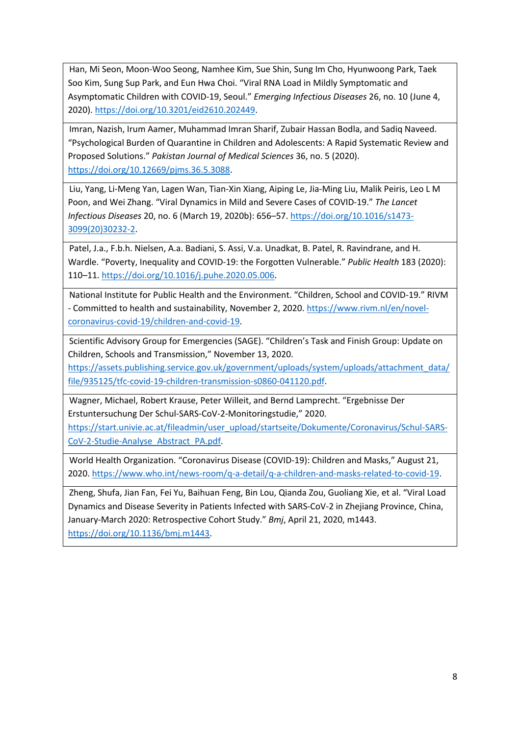Han, Mi Seon, Moon-Woo Seong, Namhee Kim, Sue Shin, Sung Im Cho, Hyunwoong Park, Taek Soo Kim, Sung Sup Park, and Eun Hwa Choi. "Viral RNA Load in Mildly Symptomatic and Asymptomatic Children with COVID-19, Seoul." *Emerging Infectious Diseases* 26, no. 10 (June 4, 2020). https://doi.org/10.3201/eid2610.202449.

Imran, Nazish, Irum Aamer, Muhammad Imran Sharif, Zubair Hassan Bodla, and Sadiq Naveed. "Psychological Burden of Quarantine in Children and Adolescents: A Rapid Systematic Review and Proposed Solutions." *Pakistan Journal of Medical Sciences* 36, no. 5 (2020). https://doi.org/10.12669/pjms.36.5.3088.

Liu, Yang, Li-Meng Yan, Lagen Wan, Tian-Xin Xiang, Aiping Le, Jia-Ming Liu, Malik Peiris, Leo L M Poon, and Wei Zhang. "Viral Dynamics in Mild and Severe Cases of COVID-19." *The Lancet Infectious Diseases* 20, no. 6 (March 19, 2020b): 656–57. https://doi.org/10.1016/s1473- 3099(20)30232-2.

Patel, J.a., F.b.h. Nielsen, A.a. Badiani, S. Assi, V.a. Unadkat, B. Patel, R. Ravindrane, and H. Wardle. "Poverty, Inequality and COVID-19: the Forgotten Vulnerable." *Public Health* 183 (2020): 110–11. https://doi.org/10.1016/j.puhe.2020.05.006.

National Institute for Public Health and the Environment. "Children, School and COVID-19." RIVM - Committed to health and sustainability, November 2, 2020. https://www.rivm.nl/en/novelcoronavirus-covid-19/children-and-covid-19.

Scientific Advisory Group for Emergencies (SAGE). "Children's Task and Finish Group: Update on Children, Schools and Transmission," November 13, 2020.

https://assets.publishing.service.gov.uk/government/uploads/system/uploads/attachment\_data/ file/935125/tfc-covid-19-children-transmission-s0860-041120.pdf.

Wagner, Michael, Robert Krause, Peter Willeit, and Bernd Lamprecht. "Ergebnisse Der Erstuntersuchung Der Schul-SARS-CoV-2-Monitoringstudie," 2020.

https://start.univie.ac.at/fileadmin/user\_upload/startseite/Dokumente/Coronavirus/Schul-SARS-CoV-2-Studie-Analyse\_Abstract\_PA.pdf.

World Health Organization. "Coronavirus Disease (COVID-19): Children and Masks," August 21, 2020. https://www.who.int/news-room/q-a-detail/q-a-children-and-masks-related-to-covid-19.

Zheng, Shufa, Jian Fan, Fei Yu, Baihuan Feng, Bin Lou, Qianda Zou, Guoliang Xie, et al. "Viral Load Dynamics and Disease Severity in Patients Infected with SARS-CoV-2 in Zhejiang Province, China, January-March 2020: Retrospective Cohort Study." *Bmj*, April 21, 2020, m1443. https://doi.org/10.1136/bmj.m1443.